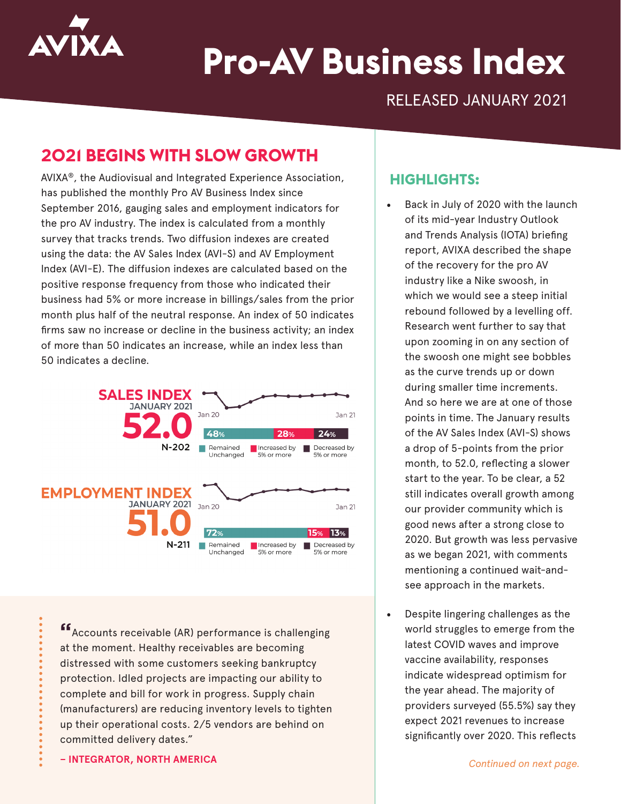

# **Pro-AV Business Index**

RELEASED JANUARY 2021

# **2021 BEGINS WITH SLOW GROWTH**

AVIXA®, the Audiovisual and Integrated Experience Association, has published the monthly Pro AV Business Index since September 2016, gauging sales and employment indicators for the pro AV industry. The index is calculated from a monthly survey that tracks trends. Two diffusion indexes are created using the data: the AV Sales Index (AVI-S) and AV Employment Index (AVI-E). The diffusion indexes are calculated based on the positive response frequency from those who indicated their business had 5% or more increase in billings/sales from the prior month plus half of the neutral response. An index of 50 indicates firms saw no increase or decline in the business activity; an index of more than 50 indicates an increase, while an index less than 50 indicates a decline.



**"**Accounts receivable (AR) performance is challenging at the moment. Healthy receivables are becoming distressed with some customers seeking bankruptcy protection. Idled projects are impacting our ability to complete and bill for work in progress. Supply chain (manufacturers) are reducing inventory levels to tighten up their operational costs. 2/5 vendors are behind on committed delivery dates."

**– INTEGRATOR, NORTH AMERICA** *Continued on next page.*

### **HIGHLIGHTS:**

- Back in July of 2020 with the launch of its mid-year Industry Outlook and Trends Analysis (IOTA) briefing report, AVIXA described the shape of the recovery for the pro AV industry like a Nike swoosh, in which we would see a steep initial rebound followed by a levelling off. Research went further to say that upon zooming in on any section of the swoosh one might see bobbles as the curve trends up or down during smaller time increments. And so here we are at one of those points in time. The January results of the AV Sales Index (AVI-S) shows a drop of 5-points from the prior month, to 52.0, reflecting a slower start to the year. To be clear, a 52 still indicates overall growth among our provider community which is good news after a strong close to 2020. But growth was less pervasive as we began 2021, with comments mentioning a continued wait-andsee approach in the markets.
- Despite lingering challenges as the world struggles to emerge from the latest COVID waves and improve vaccine availability, responses indicate widespread optimism for the year ahead. The majority of providers surveyed (55.5%) say they expect 2021 revenues to increase significantly over 2020. This reflects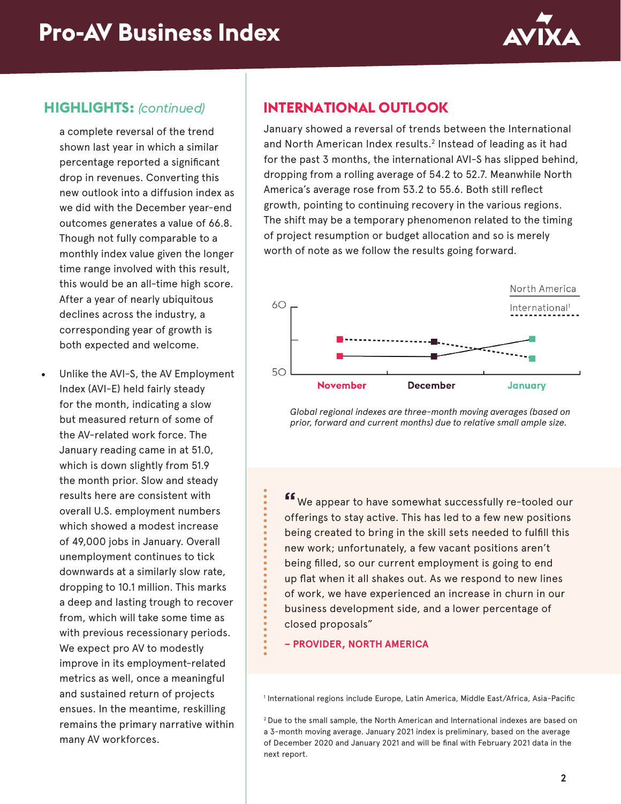

### **HIGHLIGHTS:** *(continued)*

a complete reversal of the trend shown last year in which a similar percentage reported a significant drop in revenues. Converting this new outlook into a diffusion index as we did with the December year-end outcomes generates a value of 66.8. Though not fully comparable to a monthly index value given the longer time range involved with this result, this would be an all-time high score. After a year of nearly ubiquitous declines across the industry, a corresponding year of growth is both expected and welcome.

Unlike the AVI-S, the AV Employment Index (AVI-E) held fairly steady for the month, indicating a slow but measured return of some of the AV-related work force. The January reading came in at 51.0, which is down slightly from 51.9 the month prior. Slow and steady results here are consistent with overall U.S. employment numbers which showed a modest increase of 49,000 jobs in January. Overall unemployment continues to tick downwards at a similarly slow rate, dropping to 10.1 million. This marks a deep and lasting trough to recover from, which will take some time as with previous recessionary periods. We expect pro AV to modestly improve in its employment-related metrics as well, once a meaningful and sustained return of projects ensues. In the meantime, reskilling remains the primary narrative within many AV workforces.

## **INTERNATIONAL OUTLOOK**

January showed a reversal of trends between the International and North American Index results.<sup>2</sup> Instead of leading as it had for the past 3 months, the international AVI-S has slipped behind, dropping from a rolling average of 54.2 to 52.7. Meanwhile North America's average rose from 53.2 to 55.6. Both still reflect growth, pointing to continuing recovery in the various regions. The shift may be a temporary phenomenon related to the timing of project resumption or budget allocation and so is merely worth of note as we follow the results going forward.



*Global regional indexes are three-month moving averages (based on prior, forward and current months) due to relative small ample size.*

**"**We appear to have somewhat successfully re-tooled our offerings to stay active. This has led to a few new positions being created to bring in the skill sets needed to fulfill this new work; unfortunately, a few vacant positions aren't being filled, so our current employment is going to end up flat when it all shakes out. As we respond to new lines of work, we have experienced an increase in churn in our business development side, and a lower percentage of closed proposals"

**– PROVIDER, NORTH AMERICA**

1 International regions include Europe, Latin America, Middle East/Africa, Asia-Pacific

2 Due to the small sample, the North American and International indexes are based on a 3-month moving average. January 2021 index is preliminary, based on the average of December 2020 and January 2021 and will be final with February 2021 data in the next report.